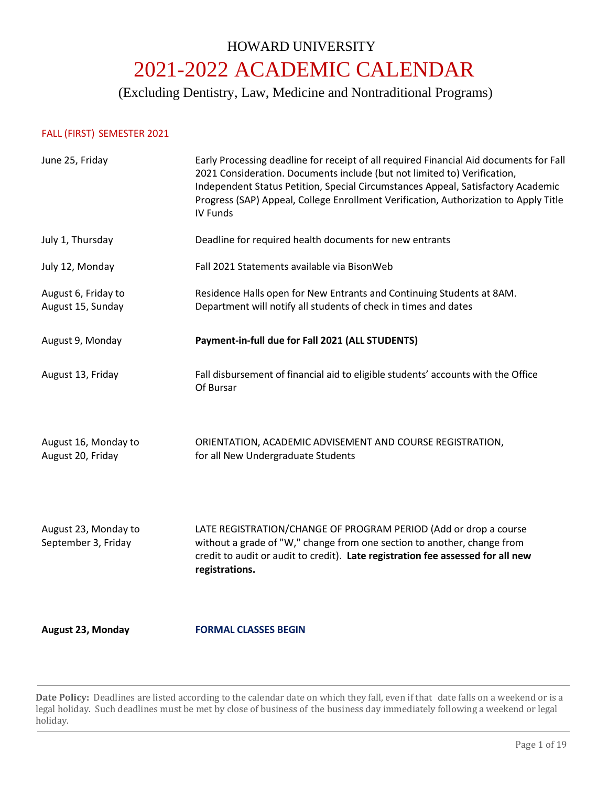# HOWARD UNIVERSITY 2021-2022 ACADEMIC CALENDAR

(Excluding Dentistry, Law, Medicine and Nontraditional Programs)

# FALL (FIRST) SEMESTER 2021

| June 25, Friday                             | Early Processing deadline for receipt of all required Financial Aid documents for Fall<br>2021 Consideration. Documents include (but not limited to) Verification,<br>Independent Status Petition, Special Circumstances Appeal, Satisfactory Academic<br>Progress (SAP) Appeal, College Enrollment Verification, Authorization to Apply Title<br><b>IV Funds</b> |
|---------------------------------------------|-------------------------------------------------------------------------------------------------------------------------------------------------------------------------------------------------------------------------------------------------------------------------------------------------------------------------------------------------------------------|
| July 1, Thursday                            | Deadline for required health documents for new entrants                                                                                                                                                                                                                                                                                                           |
| July 12, Monday                             | Fall 2021 Statements available via BisonWeb                                                                                                                                                                                                                                                                                                                       |
| August 6, Friday to<br>August 15, Sunday    | Residence Halls open for New Entrants and Continuing Students at 8AM.<br>Department will notify all students of check in times and dates                                                                                                                                                                                                                          |
| August 9, Monday                            | Payment-in-full due for Fall 2021 (ALL STUDENTS)                                                                                                                                                                                                                                                                                                                  |
| August 13, Friday                           | Fall disbursement of financial aid to eligible students' accounts with the Office<br>Of Bursar                                                                                                                                                                                                                                                                    |
| August 16, Monday to<br>August 20, Friday   | ORIENTATION, ACADEMIC ADVISEMENT AND COURSE REGISTRATION,<br>for all New Undergraduate Students                                                                                                                                                                                                                                                                   |
| August 23, Monday to<br>September 3, Friday | LATE REGISTRATION/CHANGE OF PROGRAM PERIOD (Add or drop a course<br>without a grade of "W," change from one section to another, change from<br>credit to audit or audit to credit). Late registration fee assessed for all new<br>registrations.                                                                                                                  |
| <b>August 23, Monday</b>                    | <b>FORMAL CLASSES BEGIN</b>                                                                                                                                                                                                                                                                                                                                       |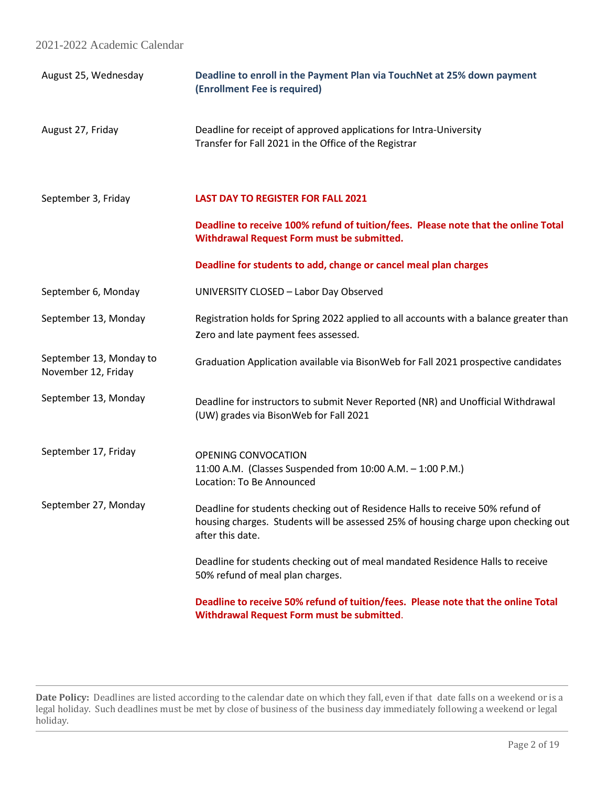| August 25, Wednesday                           | Deadline to enroll in the Payment Plan via TouchNet at 25% down payment<br>(Enrollment Fee is required)                                                                                  |
|------------------------------------------------|------------------------------------------------------------------------------------------------------------------------------------------------------------------------------------------|
| August 27, Friday                              | Deadline for receipt of approved applications for Intra-University<br>Transfer for Fall 2021 in the Office of the Registrar                                                              |
| September 3, Friday                            | <b>LAST DAY TO REGISTER FOR FALL 2021</b>                                                                                                                                                |
|                                                | Deadline to receive 100% refund of tuition/fees. Please note that the online Total<br>Withdrawal Request Form must be submitted.                                                         |
|                                                | Deadline for students to add, change or cancel meal plan charges                                                                                                                         |
| September 6, Monday                            | UNIVERSITY CLOSED - Labor Day Observed                                                                                                                                                   |
| September 13, Monday                           | Registration holds for Spring 2022 applied to all accounts with a balance greater than<br>Zero and late payment fees assessed.                                                           |
| September 13, Monday to<br>November 12, Friday | Graduation Application available via BisonWeb for Fall 2021 prospective candidates                                                                                                       |
| September 13, Monday                           | Deadline for instructors to submit Never Reported (NR) and Unofficial Withdrawal<br>(UW) grades via BisonWeb for Fall 2021                                                               |
| September 17, Friday                           | <b>OPENING CONVOCATION</b><br>11:00 A.M. (Classes Suspended from 10:00 A.M. - 1:00 P.M.)<br>Location: To Be Announced                                                                    |
| September 27, Monday                           | Deadline for students checking out of Residence Halls to receive 50% refund of<br>housing charges. Students will be assessed 25% of housing charge upon checking out<br>after this date. |
|                                                | Deadline for students checking out of meal mandated Residence Halls to receive<br>50% refund of meal plan charges.                                                                       |
|                                                | Deadline to receive 50% refund of tuition/fees. Please note that the online Total<br>Withdrawal Request Form must be submitted.                                                          |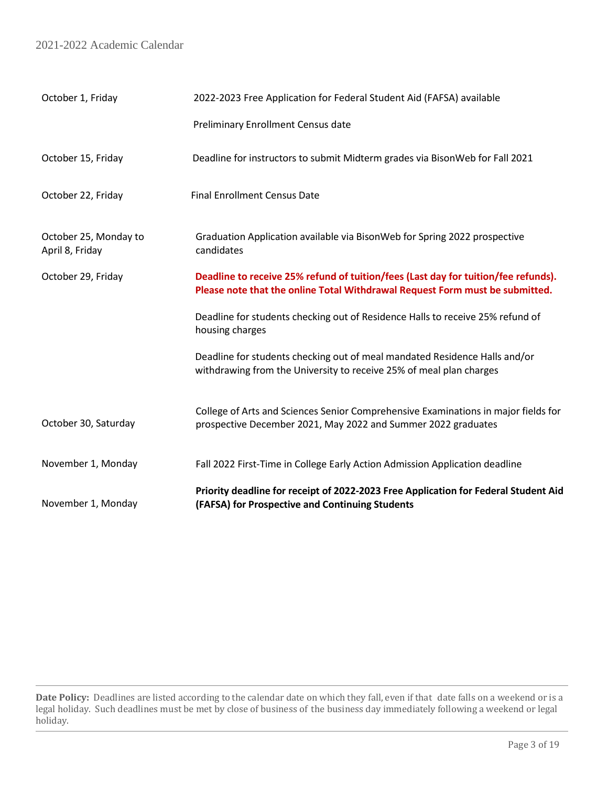| October 1, Friday                        | 2022-2023 Free Application for Federal Student Aid (FAFSA) available                                                                                               |  |
|------------------------------------------|--------------------------------------------------------------------------------------------------------------------------------------------------------------------|--|
|                                          | <b>Preliminary Enrollment Census date</b>                                                                                                                          |  |
| October 15, Friday                       | Deadline for instructors to submit Midterm grades via BisonWeb for Fall 2021                                                                                       |  |
| October 22, Friday                       | <b>Final Enrollment Census Date</b>                                                                                                                                |  |
| October 25, Monday to<br>April 8, Friday | Graduation Application available via BisonWeb for Spring 2022 prospective<br>candidates                                                                            |  |
| October 29, Friday                       | Deadline to receive 25% refund of tuition/fees (Last day for tuition/fee refunds).<br>Please note that the online Total Withdrawal Request Form must be submitted. |  |
|                                          | Deadline for students checking out of Residence Halls to receive 25% refund of<br>housing charges                                                                  |  |
|                                          | Deadline for students checking out of meal mandated Residence Halls and/or<br>withdrawing from the University to receive 25% of meal plan charges                  |  |
| October 30, Saturday                     | College of Arts and Sciences Senior Comprehensive Examinations in major fields for<br>prospective December 2021, May 2022 and Summer 2022 graduates                |  |
| November 1, Monday                       | Fall 2022 First-Time in College Early Action Admission Application deadline                                                                                        |  |
| November 1, Monday                       | Priority deadline for receipt of 2022-2023 Free Application for Federal Student Aid<br>(FAFSA) for Prospective and Continuing Students                             |  |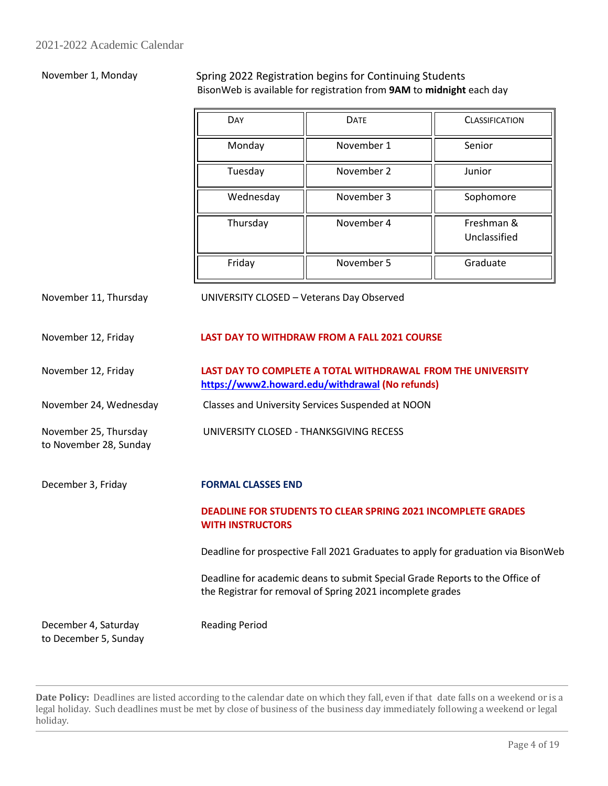# November 1, Monday Spring 2022 Registration begins for Continuing Students BisonWeb is available for registration from **9AM** to **midnight** each day

| DAY       | <b>DATE</b> | <b>CLASSIFICATION</b>      |
|-----------|-------------|----------------------------|
| Monday    | November 1  | Senior                     |
| Tuesday   | November 2  | Junior                     |
| Wednesday | November 3  | Sophomore                  |
| Thursday  | November 4  | Freshman &<br>Unclassified |
| Friday    | November 5  | Graduate                   |

November 11, Thursday UNIVERSITY CLOSED – Veterans Day Observed

# November 12, Friday **LAST DAY TO WITHDRAW FROM A FALL 2021 COURSE**

### November 12, Friday **LAST DAY TO COMPLETE A TOTAL WITHDRAWAL FROM THE UNIVERSITY <https://www2.howard.edu/withdrawal> (No refunds)** November 24, Wednesday Classes and University Services Suspended at NOON

UNIVERSITY CLOSED - THANKSGIVING RECESS

December 3, Friday **FORMAL CLASSES END**

# **DEADLINE FOR STUDENTS TO CLEAR SPRING 2021 INCOMPLETE GRADES WITH INSTRUCTORS**

Deadline for prospective Fall 2021 Graduates to apply for graduation via BisonWeb

Deadline for academic deans to submit Special Grade Reports to the Office of the Registrar for removal of Spring 2021 incomplete grades

December 4, Saturday to December 5, Sunday

November 25, Thursday to November 28, Sunday

Reading Period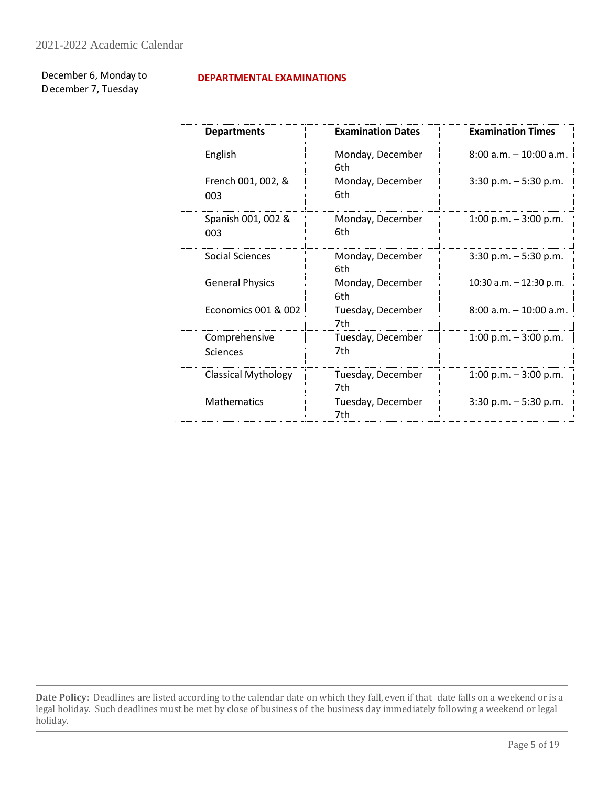December 6, Monday to December 7, Tuesday

# **DEPARTMENTAL EXAMINATIONS**

| <b>Departments</b>         | <b>Examination Dates</b> | <b>Examination Times</b>  |
|----------------------------|--------------------------|---------------------------|
| English                    | Monday, December<br>6th  | $8:00$ a.m. $-10:00$ a.m. |
| French 001, 002, &<br>003  | Monday, December<br>6th  | $3:30$ p.m. $-5:30$ p.m.  |
| Spanish 001, 002 &<br>003  | Monday, December<br>6th  | 1:00 p.m. $-3:00$ p.m.    |
| Social Sciences            | Monday, December<br>6th  | $3:30$ p.m. $-5:30$ p.m.  |
| <b>General Physics</b>     | Monday, December<br>6th  | 10:30 a.m. $-$ 12:30 p.m. |
| Economics 001 & 002        | Tuesday, December<br>7th | 8:00 a.m. - 10:00 a.m.    |
| Comprehensive<br>Sciences  | Tuesday, December<br>7th | 1:00 p.m. $-3:00$ p.m.    |
| <b>Classical Mythology</b> | Tuesday, December<br>7th | 1:00 p.m. $-3:00$ p.m.    |
| <b>Mathematics</b>         | Tuesday, December<br>7th | $3:30$ p.m. $-5:30$ p.m.  |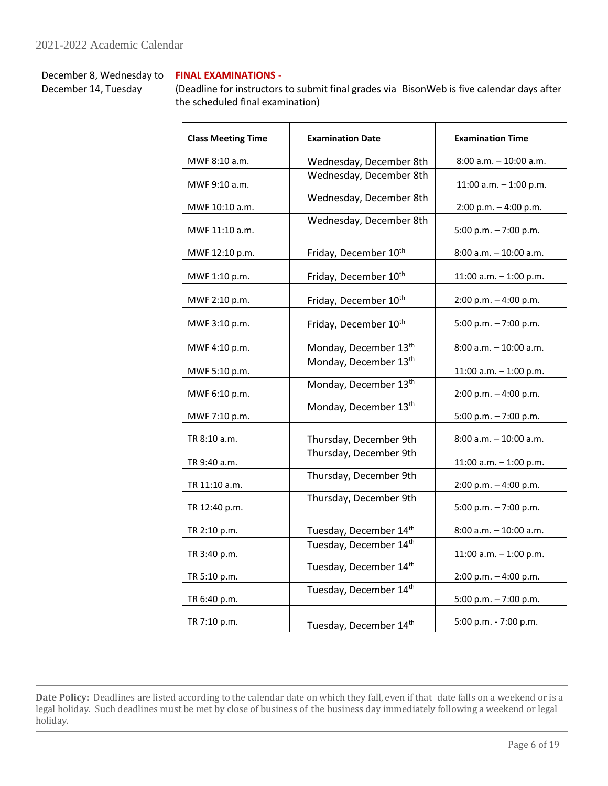December 8, Wednesday to December 14, Tuesday

# **FINAL EXAMINATIONS** -

(Deadline for instructors to submit final grades via BisonWeb is five calendar days after the scheduled final examination)

| <b>Class Meeting Time</b> | <b>Examination Date</b>           | <b>Examination Time</b>   |
|---------------------------|-----------------------------------|---------------------------|
| MWF 8:10 a.m.             | Wednesday, December 8th           | 8:00 a.m. - 10:00 a.m.    |
| MWF 9:10 a.m.             | Wednesday, December 8th           | 11:00 a.m. $-$ 1:00 p.m.  |
| MWF 10:10 a.m.            | Wednesday, December 8th           | $2:00 p.m. - 4:00 p.m.$   |
| MWF 11:10 a.m.            | Wednesday, December 8th           | 5:00 p.m. - 7:00 p.m.     |
| MWF 12:10 p.m.            | Friday, December 10th             | 8:00 a.m. - 10:00 a.m.    |
| MWF 1:10 p.m.             | Friday, December 10th             | 11:00 a.m. $-$ 1:00 p.m.  |
| MWF 2:10 p.m.             | Friday, December 10th             | $2:00 p.m. - 4:00 p.m.$   |
| MWF 3:10 p.m.             | Friday, December 10 <sup>th</sup> | 5:00 p.m. - 7:00 p.m.     |
| MWF 4:10 p.m.             | Monday, December 13th             | 8:00 a.m. - 10:00 a.m.    |
| MWF 5:10 p.m.             | Monday, December 13th             | 11:00 a.m. $-$ 1:00 p.m.  |
| MWF 6:10 p.m.             | Monday, December 13th             | $2:00 p.m. - 4:00 p.m.$   |
| MWF 7:10 p.m.             | Monday, December 13 <sup>th</sup> | 5:00 p.m. - 7:00 p.m.     |
| TR 8:10 a.m.              | Thursday, December 9th            | 8:00 a.m. - 10:00 a.m.    |
| TR 9:40 a.m.              | Thursday, December 9th            | 11:00 a.m. $-$ 1:00 p.m.  |
| TR 11:10 a.m.             | Thursday, December 9th            | 2:00 p.m. - 4:00 p.m.     |
| TR 12:40 p.m.             | Thursday, December 9th            | 5:00 p.m. $-7:00$ p.m.    |
| TR 2:10 p.m.              | Tuesday, December 14th            | $8:00$ a.m. $-10:00$ a.m. |
| TR 3:40 p.m.              | Tuesday, December 14th            | 11:00 a.m. $-$ 1:00 p.m.  |
| TR 5:10 p.m.              | Tuesday, December 14th            | 2:00 p.m. - 4:00 p.m.     |
| TR 6:40 p.m.              | Tuesday, December 14th            | 5:00 p.m. $-7:00$ p.m.    |
| TR 7:10 p.m.              | Tuesday, December 14th            | 5:00 p.m. - 7:00 p.m.     |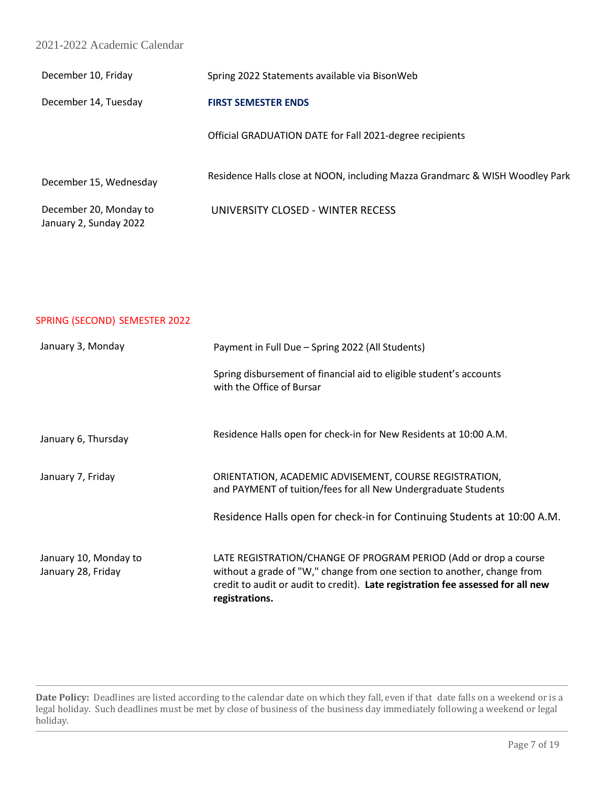# 2021-2022 Academic Calendar

| December 10, Friday                              | Spring 2022 Statements available via BisonWeb                                |
|--------------------------------------------------|------------------------------------------------------------------------------|
| December 14, Tuesday                             | <b>FIRST SEMESTER ENDS</b>                                                   |
|                                                  | Official GRADUATION DATE for Fall 2021-degree recipients                     |
| December 15, Wednesday                           | Residence Halls close at NOON, including Mazza Grandmarc & WISH Woodley Park |
| December 20, Monday to<br>January 2, Sunday 2022 | UNIVERSITY CLOSED - WINTER RECESS                                            |

# SPRING (SECOND) SEMESTER 2022

| January 3, Monday                           | Payment in Full Due - Spring 2022 (All Students)                                                                                                                                                                                                 |  |
|---------------------------------------------|--------------------------------------------------------------------------------------------------------------------------------------------------------------------------------------------------------------------------------------------------|--|
|                                             | Spring disbursement of financial aid to eligible student's accounts<br>with the Office of Bursar                                                                                                                                                 |  |
| January 6, Thursday                         | Residence Halls open for check-in for New Residents at 10:00 A.M.                                                                                                                                                                                |  |
| January 7, Friday                           | ORIENTATION, ACADEMIC ADVISEMENT, COURSE REGISTRATION,<br>and PAYMENT of tuition/fees for all New Undergraduate Students                                                                                                                         |  |
|                                             | Residence Halls open for check-in for Continuing Students at 10:00 A.M.                                                                                                                                                                          |  |
| January 10, Monday to<br>January 28, Friday | LATE REGISTRATION/CHANGE OF PROGRAM PERIOD (Add or drop a course<br>without a grade of "W," change from one section to another, change from<br>credit to audit or audit to credit). Late registration fee assessed for all new<br>registrations. |  |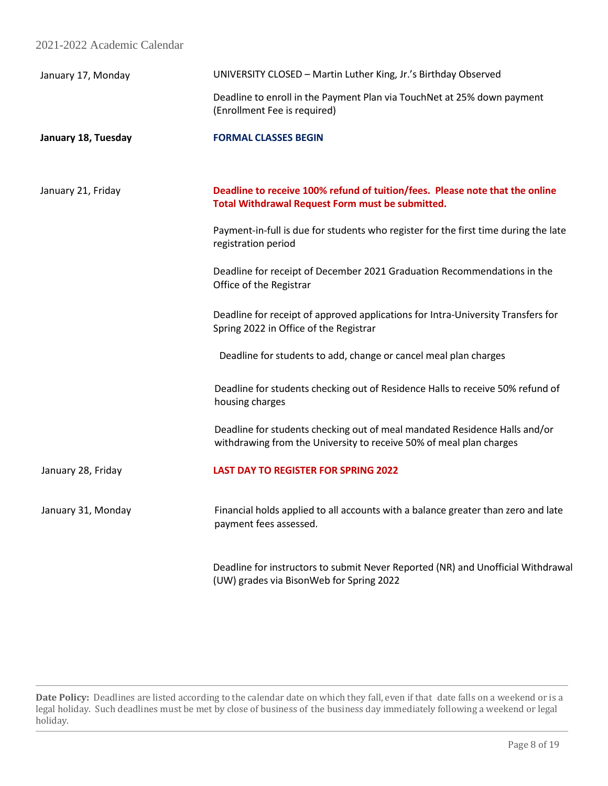| 2021-2022 Academic Calendar |
|-----------------------------|
|-----------------------------|

| January 17, Monday  | UNIVERSITY CLOSED - Martin Luther King, Jr.'s Birthday Observed                                                                                   |
|---------------------|---------------------------------------------------------------------------------------------------------------------------------------------------|
|                     | Deadline to enroll in the Payment Plan via TouchNet at 25% down payment<br>(Enrollment Fee is required)                                           |
| January 18, Tuesday | <b>FORMAL CLASSES BEGIN</b>                                                                                                                       |
| January 21, Friday  | Deadline to receive 100% refund of tuition/fees. Please note that the online<br>Total Withdrawal Request Form must be submitted.                  |
|                     | Payment-in-full is due for students who register for the first time during the late<br>registration period                                        |
|                     | Deadline for receipt of December 2021 Graduation Recommendations in the<br>Office of the Registrar                                                |
|                     | Deadline for receipt of approved applications for Intra-University Transfers for<br>Spring 2022 in Office of the Registrar                        |
|                     | Deadline for students to add, change or cancel meal plan charges                                                                                  |
|                     | Deadline for students checking out of Residence Halls to receive 50% refund of<br>housing charges                                                 |
|                     | Deadline for students checking out of meal mandated Residence Halls and/or<br>withdrawing from the University to receive 50% of meal plan charges |
| January 28, Friday  | <b>LAST DAY TO REGISTER FOR SPRING 2022</b>                                                                                                       |
| January 31, Monday  | Financial holds applied to all accounts with a balance greater than zero and late<br>payment fees assessed.                                       |
|                     | Deadline for instructors to submit Never Reported (NR) and Unofficial Withdrawal                                                                  |

(UW) grades via BisonWeb for Spring 2022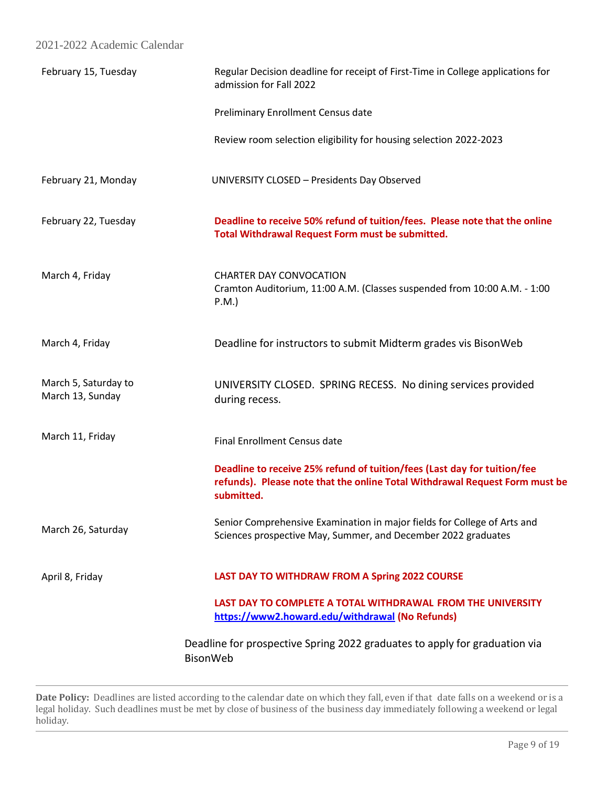| February 15, Tuesday                     | Regular Decision deadline for receipt of First-Time in College applications for<br>admission for Fall 2022                                                            |
|------------------------------------------|-----------------------------------------------------------------------------------------------------------------------------------------------------------------------|
|                                          | Preliminary Enrollment Census date                                                                                                                                    |
|                                          | Review room selection eligibility for housing selection 2022-2023                                                                                                     |
| February 21, Monday                      | UNIVERSITY CLOSED - Presidents Day Observed                                                                                                                           |
| February 22, Tuesday                     | Deadline to receive 50% refund of tuition/fees. Please note that the online<br>Total Withdrawal Request Form must be submitted.                                       |
| March 4, Friday                          | <b>CHARTER DAY CONVOCATION</b><br>Cramton Auditorium, 11:00 A.M. (Classes suspended from 10:00 A.M. - 1:00<br>$P.M.$ )                                                |
| March 4, Friday                          | Deadline for instructors to submit Midterm grades vis BisonWeb                                                                                                        |
| March 5, Saturday to<br>March 13, Sunday | UNIVERSITY CLOSED. SPRING RECESS. No dining services provided<br>during recess.                                                                                       |
| March 11, Friday                         | <b>Final Enrollment Census date</b>                                                                                                                                   |
|                                          | Deadline to receive 25% refund of tuition/fees (Last day for tuition/fee<br>refunds). Please note that the online Total Withdrawal Request Form must be<br>submitted. |
| March 26, Saturday                       | Senior Comprehensive Examination in major fields for College of Arts and<br>Sciences prospective May, Summer, and December 2022 graduates                             |
| April 8, Friday                          | LAST DAY TO WITHDRAW FROM A Spring 2022 COURSE                                                                                                                        |
|                                          | LAST DAY TO COMPLETE A TOTAL WITHDRAWAL FROM THE UNIVERSITY<br>https://www2.howard.edu/withdrawal (No Refunds)                                                        |
|                                          | Deadline for prospective Spring 2022 graduates to apply for graduation via<br>BisonWeb                                                                                |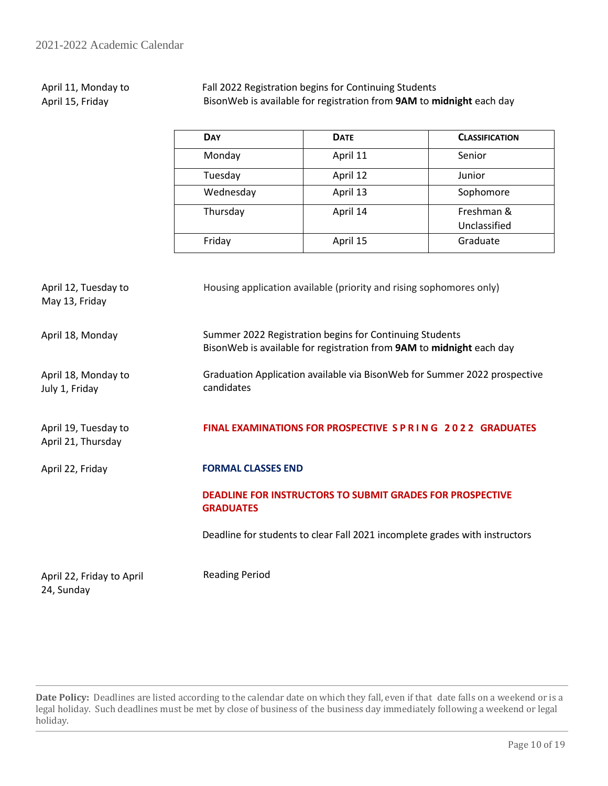#### April 11, Monday to April 15, Friday Fall 2022 Registration begins for Continuing Students BisonWeb is available for registration from **9AM** to **midnight** each day

| <b>DAY</b> | <b>DATE</b> | <b>CLASSIFICATION</b> |
|------------|-------------|-----------------------|
| Monday     | April 11    | Senior                |
| Tuesday    | April 12    | Junior                |
| Wednesday  | April 13    | Sophomore             |
| Thursday   | April 14    | Freshman &            |
|            |             | Unclassified          |
| Friday     | April 15    | Graduate              |

| April 12, Tuesday to<br>May 13, Friday     | Housing application available (priority and rising sophomores only)                                                             |
|--------------------------------------------|---------------------------------------------------------------------------------------------------------------------------------|
| April 18, Monday                           | Summer 2022 Registration begins for Continuing Students<br>BisonWeb is available for registration from 9AM to midnight each day |
| April 18, Monday to<br>July 1, Friday      | Graduation Application available via BisonWeb for Summer 2022 prospective<br>candidates                                         |
| April 19, Tuesday to<br>April 21, Thursday | FINAL EXAMINATIONS FOR PROSPECTIVE S P R I N G 2022 GRADUATES                                                                   |
| April 22, Friday                           | <b>FORMAL CLASSES END</b>                                                                                                       |
|                                            | <b>DEADLINE FOR INSTRUCTORS TO SUBMIT GRADES FOR PROSPECTIVE</b><br><b>GRADUATES</b>                                            |
|                                            | Deadline for students to clear Fall 2021 incomplete grades with instructors                                                     |
| April 22, Friday to April<br>24, Sunday    | <b>Reading Period</b>                                                                                                           |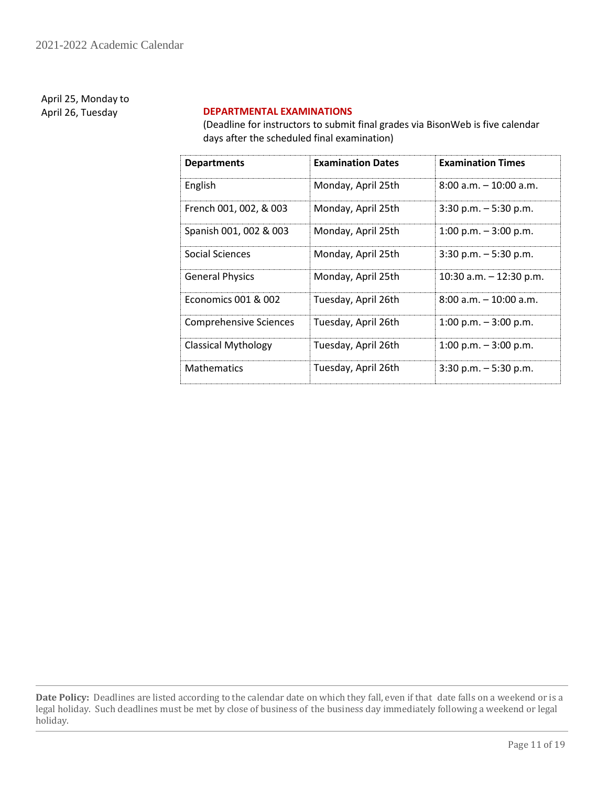April 25, Monday to

# April 26, Tuesday **DEPARTMENTAL EXAMINATIONS**

(Deadline for instructors to submit final grades via BisonWeb is five calendar days after the scheduled final examination)

| <b>Departments</b>            | <b>Examination Dates</b> | <b>Examination Times</b>  |
|-------------------------------|--------------------------|---------------------------|
| English                       | Monday, April 25th       | $8:00$ a.m. $-10:00$ a.m. |
| French 001, 002, & 003        | Monday, April 25th       | $3:30$ p.m. $-5:30$ p.m.  |
| Spanish 001, 002 & 003        | Monday, April 25th       | $1:00$ p.m. $-3:00$ p.m.  |
| Social Sciences               | Monday, April 25th       | $3:30$ p.m. $-5:30$ p.m.  |
| <b>General Physics</b>        | Monday, April 25th       | 10:30 a.m. $-$ 12:30 p.m. |
| Economics 001 & 002           | Tuesday, April 26th      | $8:00$ a.m. $-10:00$ a.m. |
| <b>Comprehensive Sciences</b> | Tuesday, April 26th      | $1:00$ p.m. $-3:00$ p.m.  |
| <b>Classical Mythology</b>    | Tuesday, April 26th      | 1:00 p.m. $-$ 3:00 p.m.   |
| <b>Mathematics</b>            | Tuesday, April 26th      | $3:30$ p.m. $-5:30$ p.m.  |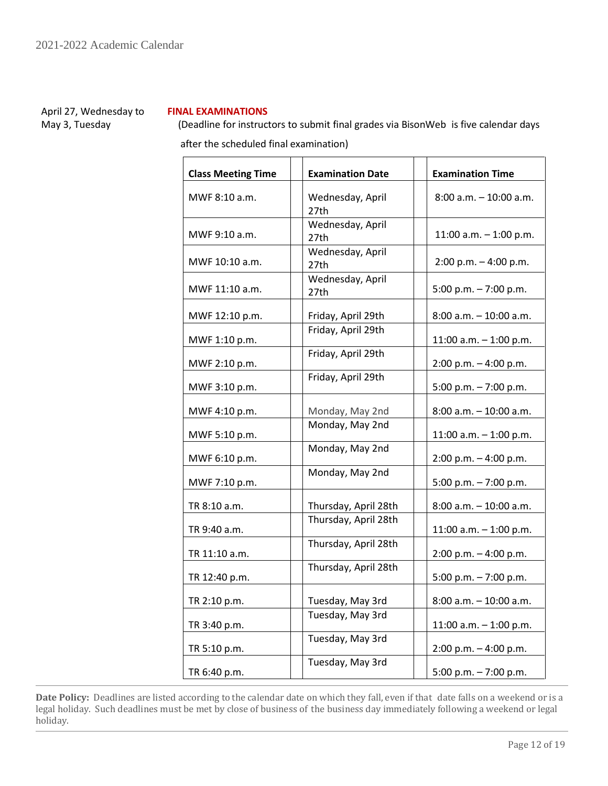April 27, Wednesday to May 3, Tuesday

# **FINAL EXAMINATIONS**

 (Deadline for instructors to submit final grades via BisonWeb is five calendar days after the scheduled final examination)

| <b>Class Meeting Time</b><br><b>Examination Date</b> |                          | <b>Examination Time</b>   |
|------------------------------------------------------|--------------------------|---------------------------|
| MWF 8:10 a.m.                                        | Wednesday, April<br>27th | $8:00$ a.m. $-10:00$ a.m. |
| MWF 9:10 a.m.                                        | Wednesday, April<br>27th | 11:00 a.m. $-$ 1:00 p.m.  |
| MWF 10:10 a.m.                                       | Wednesday, April<br>27th | $2:00 p.m. - 4:00 p.m.$   |
| MWF 11:10 a.m.                                       | Wednesday, April<br>27th | 5:00 p.m. $-7:00$ p.m.    |
| MWF 12:10 p.m.                                       | Friday, April 29th       | 8:00 a.m. - 10:00 a.m.    |
| MWF 1:10 p.m.                                        | Friday, April 29th       | 11:00 a.m. $-$ 1:00 p.m.  |
| MWF 2:10 p.m.                                        | Friday, April 29th       | 2:00 p.m. - 4:00 p.m.     |
| MWF 3:10 p.m.                                        | Friday, April 29th       | 5:00 p.m. $-7:00$ p.m.    |
| MWF 4:10 p.m.                                        | Monday, May 2nd          | $8:00$ a.m. $-10:00$ a.m. |
| MWF 5:10 p.m.                                        | Monday, May 2nd          | 11:00 a.m. $-$ 1:00 p.m.  |
| MWF 6:10 p.m.                                        | Monday, May 2nd          | 2:00 p.m. - 4:00 p.m.     |
| MWF 7:10 p.m.                                        | Monday, May 2nd          | 5:00 p.m. $-7:00$ p.m.    |
| TR 8:10 a.m.                                         | Thursday, April 28th     | 8:00 a.m. - 10:00 a.m.    |
| TR 9:40 a.m.                                         | Thursday, April 28th     | 11:00 a.m. $-$ 1:00 p.m.  |
| TR 11:10 a.m.                                        | Thursday, April 28th     | $2:00$ p.m. $-4:00$ p.m.  |
| TR 12:40 p.m.                                        | Thursday, April 28th     | 5:00 p.m. - 7:00 p.m.     |
| TR 2:10 p.m.                                         | Tuesday, May 3rd         | $8:00$ a.m. $-10:00$ a.m. |
| TR 3:40 p.m.                                         | Tuesday, May 3rd         | 11:00 a.m. $-$ 1:00 p.m.  |
| TR 5:10 p.m.                                         | Tuesday, May 3rd         | 2:00 p.m. - 4:00 p.m.     |
| TR 6:40 p.m.                                         | Tuesday, May 3rd         | 5:00 p.m. $- 7:00$ p.m.   |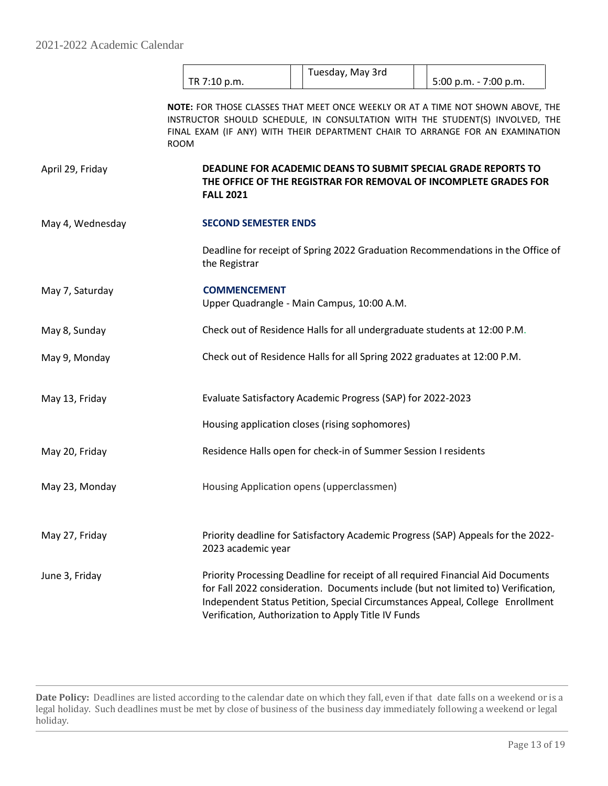|                  |                             | Tuesday, May 3rd                                                          |                                                                                                                                                                                                                                                        |
|------------------|-----------------------------|---------------------------------------------------------------------------|--------------------------------------------------------------------------------------------------------------------------------------------------------------------------------------------------------------------------------------------------------|
|                  | TR 7:10 p.m.                |                                                                           | 5:00 p.m. - 7:00 p.m.                                                                                                                                                                                                                                  |
|                  | <b>ROOM</b>                 |                                                                           | NOTE: FOR THOSE CLASSES THAT MEET ONCE WEEKLY OR AT A TIME NOT SHOWN ABOVE, THE<br>INSTRUCTOR SHOULD SCHEDULE, IN CONSULTATION WITH THE STUDENT(S) INVOLVED, THE<br>FINAL EXAM (IF ANY) WITH THEIR DEPARTMENT CHAIR TO ARRANGE FOR AN EXAMINATION      |
| April 29, Friday | <b>FALL 2021</b>            |                                                                           | DEADLINE FOR ACADEMIC DEANS TO SUBMIT SPECIAL GRADE REPORTS TO<br>THE OFFICE OF THE REGISTRAR FOR REMOVAL OF INCOMPLETE GRADES FOR                                                                                                                     |
| May 4, Wednesday | <b>SECOND SEMESTER ENDS</b> |                                                                           |                                                                                                                                                                                                                                                        |
|                  | the Registrar               |                                                                           | Deadline for receipt of Spring 2022 Graduation Recommendations in the Office of                                                                                                                                                                        |
| May 7, Saturday  | <b>COMMENCEMENT</b>         | Upper Quadrangle - Main Campus, 10:00 A.M.                                |                                                                                                                                                                                                                                                        |
| May 8, Sunday    |                             | Check out of Residence Halls for all undergraduate students at 12:00 P.M. |                                                                                                                                                                                                                                                        |
| May 9, Monday    |                             | Check out of Residence Halls for all Spring 2022 graduates at 12:00 P.M.  |                                                                                                                                                                                                                                                        |
| May 13, Friday   |                             | Evaluate Satisfactory Academic Progress (SAP) for 2022-2023               |                                                                                                                                                                                                                                                        |
|                  |                             | Housing application closes (rising sophomores)                            |                                                                                                                                                                                                                                                        |
| May 20, Friday   |                             | Residence Halls open for check-in of Summer Session I residents           |                                                                                                                                                                                                                                                        |
| May 23, Monday   |                             | Housing Application opens (upperclassmen)                                 |                                                                                                                                                                                                                                                        |
| May 27, Friday   | 2023 academic year          |                                                                           | Priority deadline for Satisfactory Academic Progress (SAP) Appeals for the 2022-                                                                                                                                                                       |
| June 3, Friday   |                             | Verification, Authorization to Apply Title IV Funds                       | Priority Processing Deadline for receipt of all required Financial Aid Documents<br>for Fall 2022 consideration. Documents include (but not limited to) Verification,<br>Independent Status Petition, Special Circumstances Appeal, College Enrollment |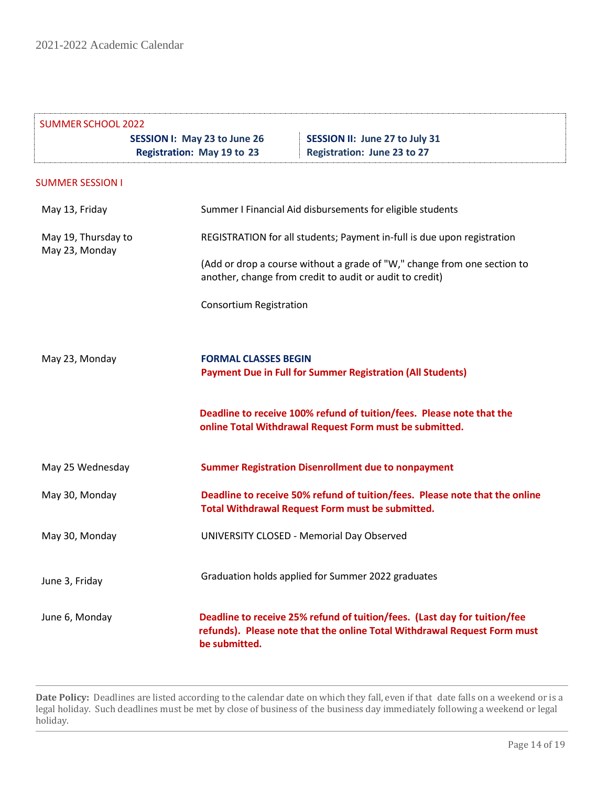| <b>SUMMER SCHOOL 2022</b>             |                                                                   |                                                                                                                                                       |  |
|---------------------------------------|-------------------------------------------------------------------|-------------------------------------------------------------------------------------------------------------------------------------------------------|--|
|                                       | SESSION I: May 23 to June 26<br><b>Registration: May 19 to 23</b> | SESSION II: June 27 to July 31<br><b>Registration: June 23 to 27</b>                                                                                  |  |
| <b>SUMMER SESSION I</b>               |                                                                   |                                                                                                                                                       |  |
| May 13, Friday                        |                                                                   | Summer I Financial Aid disbursements for eligible students                                                                                            |  |
| May 19, Thursday to<br>May 23, Monday |                                                                   | REGISTRATION for all students; Payment in-full is due upon registration                                                                               |  |
|                                       |                                                                   | (Add or drop a course without a grade of "W," change from one section to<br>another, change from credit to audit or audit to credit)                  |  |
|                                       | <b>Consortium Registration</b>                                    |                                                                                                                                                       |  |
| May 23, Monday                        | <b>FORMAL CLASSES BEGIN</b>                                       | <b>Payment Due in Full for Summer Registration (All Students)</b>                                                                                     |  |
|                                       |                                                                   | Deadline to receive 100% refund of tuition/fees. Please note that the<br>online Total Withdrawal Request Form must be submitted.                      |  |
| May 25 Wednesday                      |                                                                   | <b>Summer Registration Disenrollment due to nonpayment</b>                                                                                            |  |
| May 30, Monday                        |                                                                   | Deadline to receive 50% refund of tuition/fees. Please note that the online<br>Total Withdrawal Request Form must be submitted.                       |  |
| May 30, Monday                        |                                                                   | UNIVERSITY CLOSED - Memorial Day Observed                                                                                                             |  |
| June 3, Friday                        |                                                                   | Graduation holds applied for Summer 2022 graduates                                                                                                    |  |
| June 6, Monday                        | be submitted.                                                     | Deadline to receive 25% refund of tuition/fees. (Last day for tuition/fee<br>refunds). Please note that the online Total Withdrawal Request Form must |  |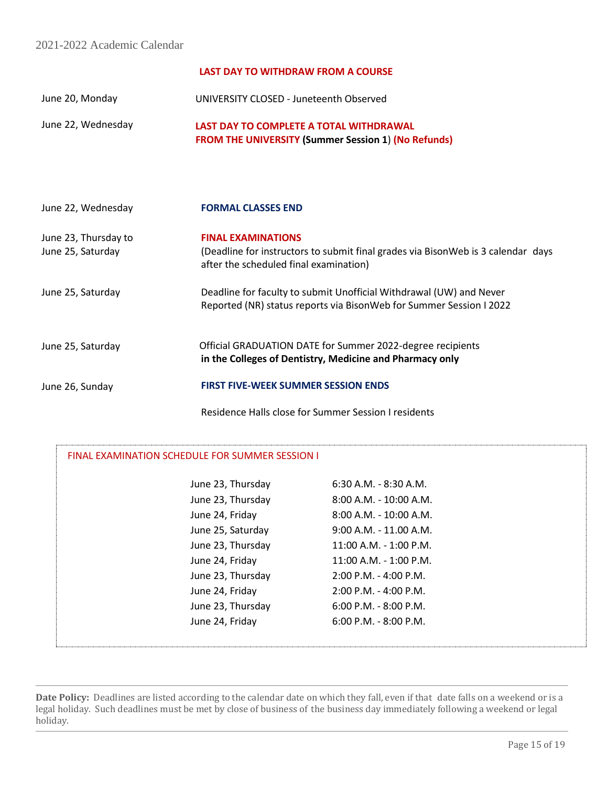# **LAST DAY TO WITHDRAW FROM A COURSE**

June 20, Monday UNIVERSITY CLOSED - Juneteenth Observed

June 22, Wednesday  **LAST DAY TO COMPLETE A TOTAL WITHDRAWAL FROM THE UNIVERSITY (Summer Session 1**) **(No Refunds)**

| June 22, Wednesday                        | <b>FORMAL CLASSES END</b>                                                                                                                               |
|-------------------------------------------|---------------------------------------------------------------------------------------------------------------------------------------------------------|
| June 23, Thursday to<br>June 25, Saturday | <b>FINAL EXAMINATIONS</b><br>(Deadline for instructors to submit final grades via BisonWeb is 3 calendar days<br>after the scheduled final examination) |
| June 25, Saturday                         | Deadline for faculty to submit Unofficial Withdrawal (UW) and Never<br>Reported (NR) status reports via BisonWeb for Summer Session I 2022              |
| June 25, Saturday                         | Official GRADUATION DATE for Summer 2022-degree recipients<br>in the Colleges of Dentistry, Medicine and Pharmacy only                                  |
| June 26, Sunday                           | <b>FIRST FIVE-WEEK SUMMER SESSION ENDS</b>                                                                                                              |

Residence Halls close for Summer Session I residents

| <b>FINAL EXAMINATION SCHEDULE FOR SUMMER SESSION I</b> |                           |  |
|--------------------------------------------------------|---------------------------|--|
| June 23, Thursday                                      | $6:30$ A.M. - 8:30 A.M.   |  |
| June 23, Thursday                                      | $8:00$ A.M. - 10:00 A.M.  |  |
| June 24, Friday                                        | 8:00 A.M. - 10:00 A.M.    |  |
| June 25, Saturday                                      | $9:00$ A.M. - 11.00 A.M.  |  |
| June 23, Thursday                                      | 11:00 A.M. - 1:00 P.M.    |  |
| June 24, Friday                                        | 11:00 A.M. - 1:00 P.M.    |  |
| June 23, Thursday                                      | $2:00$ P.M. - 4:00 P.M.   |  |
| June 24, Friday                                        | $2:00$ P.M. - 4:00 P.M.   |  |
| June 23, Thursday                                      | $6:00$ P.M. - 8:00 P.M.   |  |
| June 24, Friday                                        | $6:00$ P.M. - $8:00$ P.M. |  |
|                                                        |                           |  |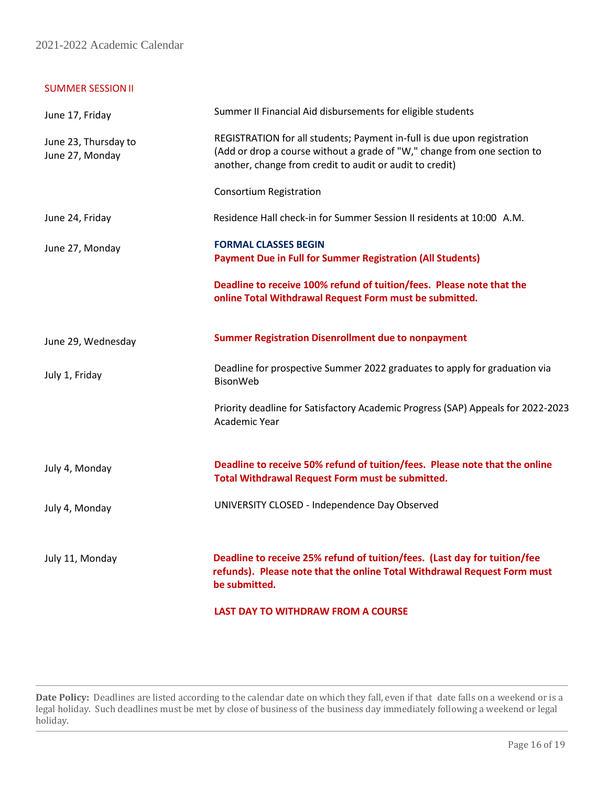2021-2022 Academic Calendar

# SUMMER SESSIONII

| June 17, Friday                         | Summer II Financial Aid disbursements for eligible students                                                                                                                                                     |
|-----------------------------------------|-----------------------------------------------------------------------------------------------------------------------------------------------------------------------------------------------------------------|
| June 23, Thursday to<br>June 27, Monday | REGISTRATION for all students; Payment in-full is due upon registration<br>(Add or drop a course without a grade of "W," change from one section to<br>another, change from credit to audit or audit to credit) |
|                                         | <b>Consortium Registration</b>                                                                                                                                                                                  |
| June 24, Friday                         | Residence Hall check-in for Summer Session II residents at 10:00 A.M.                                                                                                                                           |
| June 27, Monday                         | <b>FORMAL CLASSES BEGIN</b><br><b>Payment Due in Full for Summer Registration (All Students)</b>                                                                                                                |
|                                         | Deadline to receive 100% refund of tuition/fees. Please note that the<br>online Total Withdrawal Request Form must be submitted.                                                                                |
| June 29, Wednesday                      | <b>Summer Registration Disenrollment due to nonpayment</b>                                                                                                                                                      |
| July 1, Friday                          | Deadline for prospective Summer 2022 graduates to apply for graduation via<br><b>BisonWeb</b>                                                                                                                   |
|                                         | Priority deadline for Satisfactory Academic Progress (SAP) Appeals for 2022-2023<br>Academic Year                                                                                                               |
| July 4, Monday                          | Deadline to receive 50% refund of tuition/fees. Please note that the online<br>Total Withdrawal Request Form must be submitted.                                                                                 |
| July 4, Monday                          | UNIVERSITY CLOSED - Independence Day Observed                                                                                                                                                                   |
| July 11, Monday                         | Deadline to receive 25% refund of tuition/fees. (Last day for tuition/fee<br>refunds). Please note that the online Total Withdrawal Request Form must<br>be submitted.                                          |
|                                         | <b>LAST DAY TO WITHDRAW FROM A COURSE</b>                                                                                                                                                                       |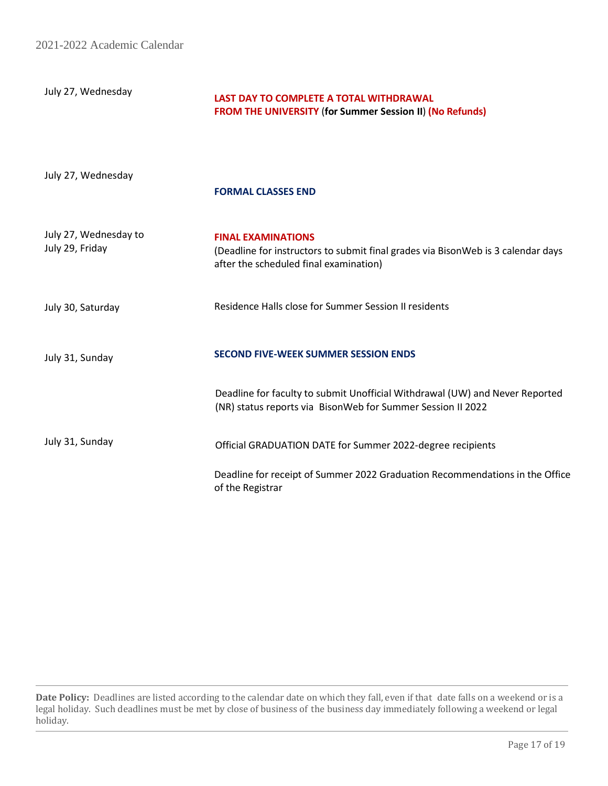2021-2022 Academic Calendar

July 27, Wednesday

# **LAST DAY TO COMPLETE A TOTAL WITHDRAWAL FROM THE UNIVERSITY** (**for Summer Session II**) **(No Refunds)**

July 27, Wednesday

### **FORMAL CLASSES END**

| July 27, Wednesday to<br>July 29, Friday | <b>FINAL EXAMINATIONS</b><br>(Deadline for instructors to submit final grades via BisonWeb is 3 calendar days<br>after the scheduled final examination) |
|------------------------------------------|---------------------------------------------------------------------------------------------------------------------------------------------------------|
| July 30, Saturday                        | Residence Halls close for Summer Session II residents                                                                                                   |
| July 31, Sunday                          | <b>SECOND FIVE-WEEK SUMMER SESSION ENDS</b>                                                                                                             |
|                                          | Deadline for faculty to submit Unofficial Withdrawal (UW) and Never Reported<br>(NR) status reports via BisonWeb for Summer Session II 2022             |
| July 31, Sunday                          | Official GRADUATION DATE for Summer 2022-degree recipients                                                                                              |
|                                          | Deadline for receipt of Summer 2022 Graduation Recommendations in the Office<br>of the Registrar                                                        |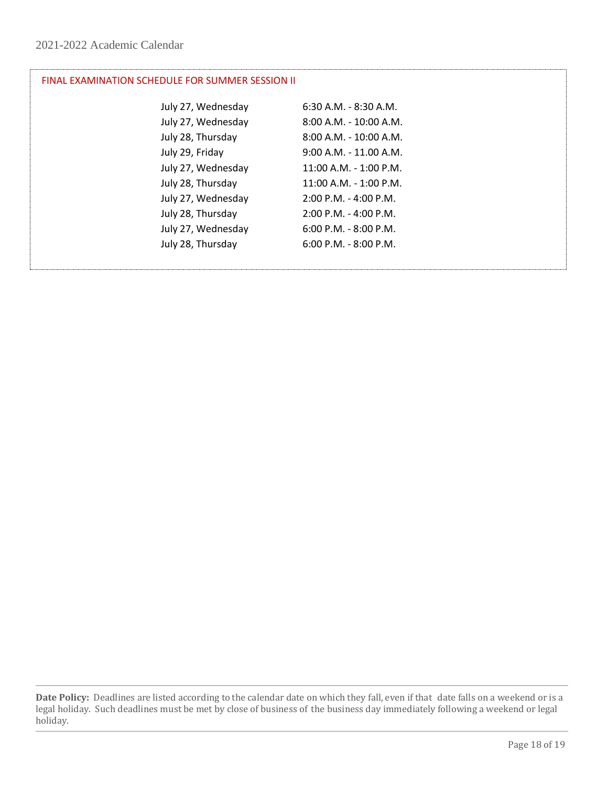# FINAL EXAMINATION SCHEDULE FOR SUMMER SESSION II

| July 27, Wednesday | $6:30$ A.M. - 8:30 A.M.   |
|--------------------|---------------------------|
| July 27, Wednesday | $8:00$ A.M. - 10:00 A.M.  |
| July 28, Thursday  | 8:00 A.M. - 10:00 A.M.    |
| July 29, Friday    | $9:00$ A.M. - 11.00 A.M.  |
| July 27, Wednesday | 11:00 A.M. - 1:00 P.M.    |
| July 28, Thursday  | 11:00 A.M. - 1:00 P.M.    |
| July 27, Wednesday | $2:00$ P.M. - 4:00 P.M.   |
| July 28, Thursday  | $2:00$ P.M. - 4:00 P.M.   |
| July 27, Wednesday | $6:00$ P.M. - $8:00$ P.M. |
| July 28, Thursday  | $6:00$ P.M. - 8:00 P.M.   |
|                    |                           |